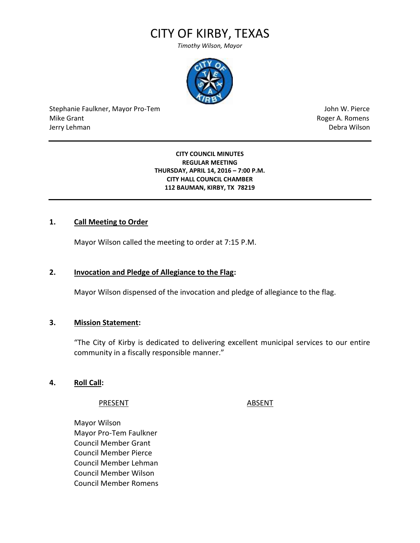# CITY OF KIRBY, TEXAS

*Timothy Wilson, Mayor*



Stephanie Faulkner, Mayor Pro-Tem John W. Pierce Mike Grant **Mike Grant** Roger A. Romens **Contract A. Romens Roger A. Romens** Jerry Lehman Debra Wilson

**CITY COUNCIL MINUTES REGULAR MEETING THURSDAY, APRIL 14, 2016 – 7:00 P.M. CITY HALL COUNCIL CHAMBER 112 BAUMAN, KIRBY, TX 78219**

#### **1. Call Meeting to Order**

Mayor Wilson called the meeting to order at 7:15 P.M.

#### **2. Invocation and Pledge of Allegiance to the Flag:**

Mayor Wilson dispensed of the invocation and pledge of allegiance to the flag.

#### **3. Mission Statement:**

"The City of Kirby is dedicated to delivering excellent municipal services to our entire community in a fiscally responsible manner."

#### **4. Roll Call:**

#### PRESENT ABSENT

Mayor Wilson Mayor Pro-Tem Faulkner Council Member Grant Council Member Pierce Council Member Lehman Council Member Wilson Council Member Romens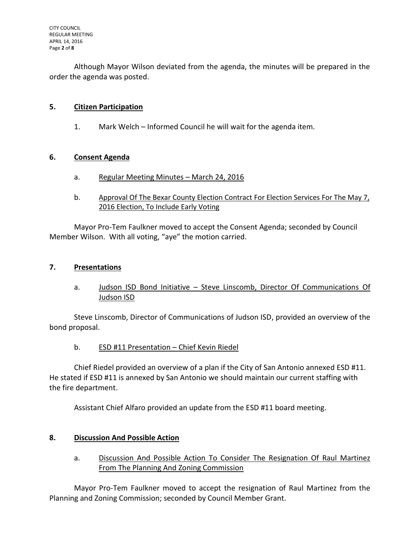Although Mayor Wilson deviated from the agenda, the minutes will be prepared in the order the agenda was posted.

## **5. Citizen Participation**

1. Mark Welch – Informed Council he will wait for the agenda item.

#### **6. Consent Agenda**

- a. Regular Meeting Minutes March 24, 2016
- b. Approval Of The Bexar County Election Contract For Election Services For The May 7, 2016 Election, To Include Early Voting

Mayor Pro-Tem Faulkner moved to accept the Consent Agenda; seconded by Council Member Wilson. With all voting, "aye" the motion carried.

#### **7. Presentations**

a. Judson ISD Bond Initiative – Steve Linscomb, Director Of Communications Of Judson ISD

Steve Linscomb, Director of Communications of Judson ISD, provided an overview of the bond proposal.

# b. ESD #11 Presentation – Chief Kevin Riedel

Chief Riedel provided an overview of a plan if the City of San Antonio annexed ESD #11. He stated if ESD #11 is annexed by San Antonio we should maintain our current staffing with the fire department.

Assistant Chief Alfaro provided an update from the ESD #11 board meeting.

# **8. Discussion And Possible Action**

a. Discussion And Possible Action To Consider The Resignation Of Raul Martinez From The Planning And Zoning Commission

Mayor Pro-Tem Faulkner moved to accept the resignation of Raul Martinez from the Planning and Zoning Commission; seconded by Council Member Grant.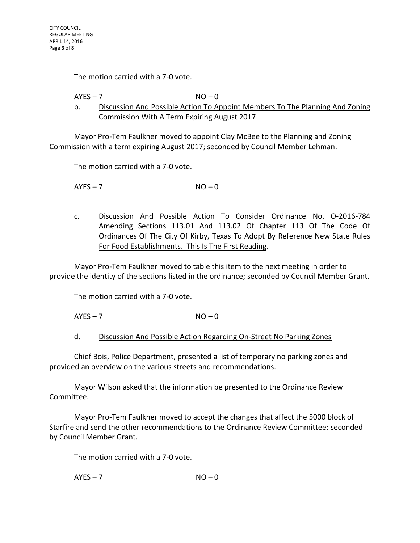The motion carried with a 7-0 vote.

#### $AYES - 7$   $NO - 0$ b. Discussion And Possible Action To Appoint Members To The Planning And Zoning Commission With A Term Expiring August 2017

Mayor Pro-Tem Faulkner moved to appoint Clay McBee to the Planning and Zoning Commission with a term expiring August 2017; seconded by Council Member Lehman.

The motion carried with a 7-0 vote.

 $AYFS - 7$  NO – 0

c. Discussion And Possible Action To Consider Ordinance No. O-2016-784 Amending Sections 113.01 And 113.02 Of Chapter 113 Of The Code Of Ordinances Of The City Of Kirby, Texas To Adopt By Reference New State Rules For Food Establishments. This Is The First Reading.

Mayor Pro-Tem Faulkner moved to table this item to the next meeting in order to provide the identity of the sections listed in the ordinance; seconded by Council Member Grant.

The motion carried with a 7-0 vote.

 $AYES - 7$   $NO - 0$ 

d. Discussion And Possible Action Regarding On-Street No Parking Zones

Chief Bois, Police Department, presented a list of temporary no parking zones and provided an overview on the various streets and recommendations.

Mayor Wilson asked that the information be presented to the Ordinance Review Committee.

Mayor Pro-Tem Faulkner moved to accept the changes that affect the 5000 block of Starfire and send the other recommendations to the Ordinance Review Committee; seconded by Council Member Grant.

The motion carried with a 7-0 vote.

 $AYES - 7$   $NO - 0$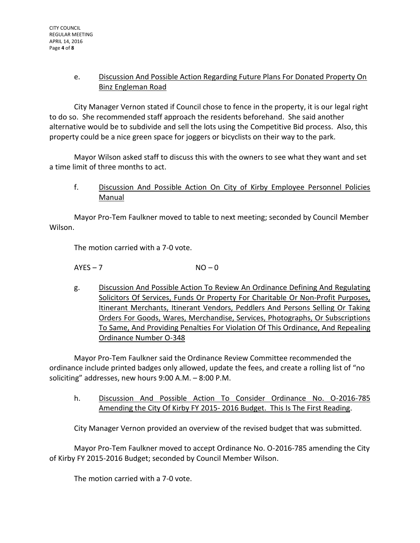# e. Discussion And Possible Action Regarding Future Plans For Donated Property On Binz Engleman Road

City Manager Vernon stated if Council chose to fence in the property, it is our legal right to do so. She recommended staff approach the residents beforehand. She said another alternative would be to subdivide and sell the lots using the Competitive Bid process. Also, this property could be a nice green space for joggers or bicyclists on their way to the park.

Mayor Wilson asked staff to discuss this with the owners to see what they want and set a time limit of three months to act.

f. Discussion And Possible Action On City of Kirby Employee Personnel Policies Manual

Mayor Pro-Tem Faulkner moved to table to next meeting; seconded by Council Member Wilson.

The motion carried with a 7-0 vote.

 $AYES - 7$   $NO - 0$ 

g. Discussion And Possible Action To Review An Ordinance Defining And Regulating Solicitors Of Services, Funds Or Property For Charitable Or Non-Profit Purposes, Itinerant Merchants, Itinerant Vendors, Peddlers And Persons Selling Or Taking Orders For Goods, Wares, Merchandise, Services, Photographs, Or Subscriptions To Same, And Providing Penalties For Violation Of This Ordinance, And Repealing Ordinance Number O-348

Mayor Pro-Tem Faulkner said the Ordinance Review Committee recommended the ordinance include printed badges only allowed, update the fees, and create a rolling list of "no soliciting" addresses, new hours 9:00 A.M. – 8:00 P.M.

h. Discussion And Possible Action To Consider Ordinance No. O-2016-785 Amending the City Of Kirby FY 2015- 2016 Budget. This Is The First Reading.

City Manager Vernon provided an overview of the revised budget that was submitted.

Mayor Pro-Tem Faulkner moved to accept Ordinance No. O-2016-785 amending the City of Kirby FY 2015-2016 Budget; seconded by Council Member Wilson.

The motion carried with a 7-0 vote.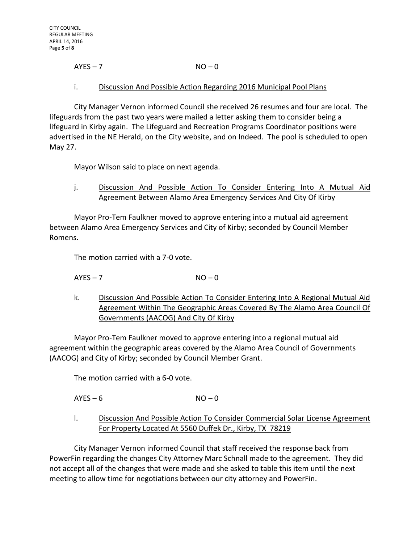# $AYES - 7$   $NO - 0$

#### i. Discussion And Possible Action Regarding 2016 Municipal Pool Plans

City Manager Vernon informed Council she received 26 resumes and four are local. The lifeguards from the past two years were mailed a letter asking them to consider being a lifeguard in Kirby again. The Lifeguard and Recreation Programs Coordinator positions were advertised in the NE Herald, on the City website, and on Indeed. The pool is scheduled to open May 27.

Mayor Wilson said to place on next agenda.

j. Discussion And Possible Action To Consider Entering Into A Mutual Aid Agreement Between Alamo Area Emergency Services And City Of Kirby

Mayor Pro-Tem Faulkner moved to approve entering into a mutual aid agreement between Alamo Area Emergency Services and City of Kirby; seconded by Council Member Romens.

The motion carried with a 7-0 vote.

 $AYES - 7$   $NO - 0$ 

k. Discussion And Possible Action To Consider Entering Into A Regional Mutual Aid Agreement Within The Geographic Areas Covered By The Alamo Area Council Of Governments (AACOG) And City Of Kirby

Mayor Pro-Tem Faulkner moved to approve entering into a regional mutual aid agreement within the geographic areas covered by the Alamo Area Council of Governments (AACOG) and City of Kirby; seconded by Council Member Grant.

The motion carried with a 6-0 vote.

 $AYES - 6$   $NO - 0$ 

l. Discussion And Possible Action To Consider Commercial Solar License Agreement For Property Located At 5560 Duffek Dr., Kirby, TX 78219

City Manager Vernon informed Council that staff received the response back from PowerFin regarding the changes City Attorney Marc Schnall made to the agreement. They did not accept all of the changes that were made and she asked to table this item until the next meeting to allow time for negotiations between our city attorney and PowerFin.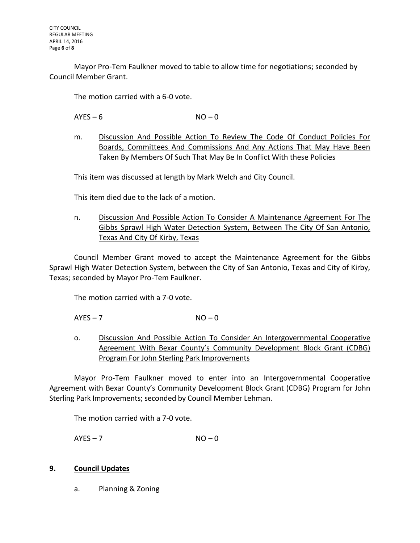Mayor Pro-Tem Faulkner moved to table to allow time for negotiations; seconded by Council Member Grant.

The motion carried with a 6-0 vote.

 $AYES - 6$   $NO - 0$ 

m. Discussion And Possible Action To Review The Code Of Conduct Policies For Boards, Committees And Commissions And Any Actions That May Have Been Taken By Members Of Such That May Be In Conflict With these Policies

This item was discussed at length by Mark Welch and City Council.

This item died due to the lack of a motion.

n. Discussion And Possible Action To Consider A Maintenance Agreement For The Gibbs Sprawl High Water Detection System, Between The City Of San Antonio, Texas And City Of Kirby, Texas

Council Member Grant moved to accept the Maintenance Agreement for the Gibbs Sprawl High Water Detection System, between the City of San Antonio, Texas and City of Kirby, Texas; seconded by Mayor Pro-Tem Faulkner.

The motion carried with a 7-0 vote.

 $AYES - 7$   $NO - 0$ 

o. Discussion And Possible Action To Consider An Intergovernmental Cooperative Agreement With Bexar County's Community Development Block Grant (CDBG) Program For John Sterling Park Improvements

Mayor Pro-Tem Faulkner moved to enter into an Intergovernmental Cooperative Agreement with Bexar County's Community Development Block Grant (CDBG) Program for John Sterling Park Improvements; seconded by Council Member Lehman.

The motion carried with a 7-0 vote.

 $AYES - 7$   $NO - 0$ 

#### **9. Council Updates**

a. Planning & Zoning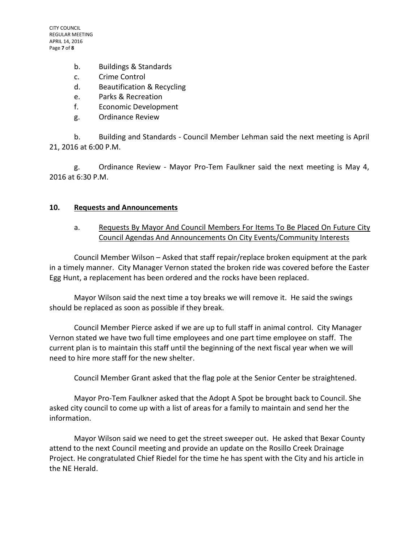- b. Buildings & Standards
- c. Crime Control
- d. Beautification & Recycling
- e. Parks & Recreation
- f. Economic Development
- g. Ordinance Review

b. Building and Standards - Council Member Lehman said the next meeting is April 21, 2016 at 6:00 P.M.

g. Ordinance Review - Mayor Pro-Tem Faulkner said the next meeting is May 4, 2016 at 6:30 P.M.

#### **10. Requests and Announcements**

# a. Requests By Mayor And Council Members For Items To Be Placed On Future City Council Agendas And Announcements On City Events/Community Interests

Council Member Wilson – Asked that staff repair/replace broken equipment at the park in a timely manner. City Manager Vernon stated the broken ride was covered before the Easter Egg Hunt, a replacement has been ordered and the rocks have been replaced.

Mayor Wilson said the next time a toy breaks we will remove it. He said the swings should be replaced as soon as possible if they break.

Council Member Pierce asked if we are up to full staff in animal control. City Manager Vernon stated we have two full time employees and one part time employee on staff. The current plan is to maintain this staff until the beginning of the next fiscal year when we will need to hire more staff for the new shelter.

Council Member Grant asked that the flag pole at the Senior Center be straightened.

Mayor Pro-Tem Faulkner asked that the Adopt A Spot be brought back to Council. She asked city council to come up with a list of areas for a family to maintain and send her the information.

Mayor Wilson said we need to get the street sweeper out. He asked that Bexar County attend to the next Council meeting and provide an update on the Rosillo Creek Drainage Project. He congratulated Chief Riedel for the time he has spent with the City and his article in the NE Herald.